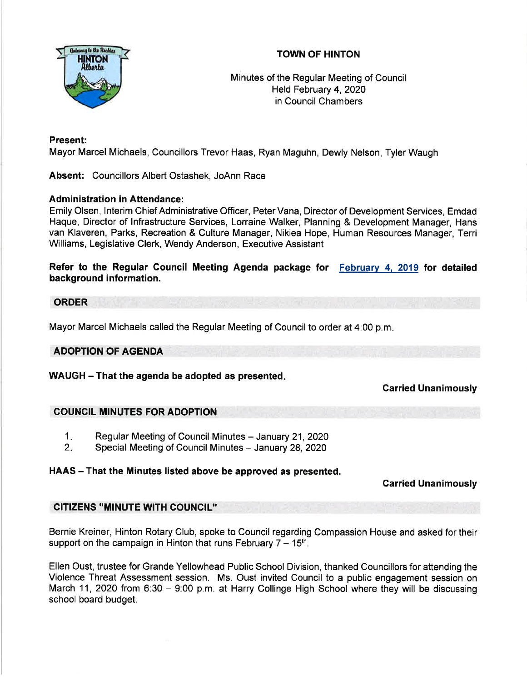

## TOWN OF HINTON

Minutes of the Regular Meeting of Council Held February 4,2020 in Council Chambers

## Present:

Mayor Marcel Michaels, Councillors Trevor Haas, Ryan Maguhn, Dewly Nelson, Tyler Waugh

Absent: Councillors Albert Ostashek, JoAnn Race

## Administration in Aftendance:

Emily Olsen, lnterim Chief Administrative Officer, PeterVana, Director of Development Services, Emdad Haque, Director of lnfrastructure Services, Lorraine Walker, Planning & Development Manager, Hans van Klaveren, Parks, Recreation & Culture Manager, Nikiea Hope, Human Resources Manager, Terri Williams, Legislative Clerk, Wendy Anderson, Executive Assistant

## Refer to the Regular Council Meeting Agenda package for February 4, 2019 for detailed background information.

## **ORDER**

Mayor Marcel Michaels called the Regular Meeting of Council to order at 4:00 p.m

## ADOPTION OF AGENDA

WAUGH - That the agenda be adopted as presented.

## Carried Unanimously

## COUNCIL MINUTES FOR ADOPTION

- Regular Meeting of Council Minutes January 21, 2020  $1<sub>1</sub>$
- Special Meeting of Council Minutes January 28, 2020  $2 -$

## HAAS – That the Minutes listed above be approved as presented.

## Garried Unanimously

## CITIZENS "MINUTE WITH COUNCIL''

Bernie Kreiner, Hinton Rotary Club, spoke to Council regarding Compassion House and asked for their support on the campaign in Hinton that runs February  $7 - 15<sup>th</sup>$ .

Ellen Oust, trustee for Grande Yellowhead Public School Division, thanked Councillors for attending the Violence Threat Assessment session. Ms. Oust invited Council to a public engagement session on March 11, 2020 from 6:30 - 9:00 p.m. at Harry Collinge High School where they will be discussing school board budget.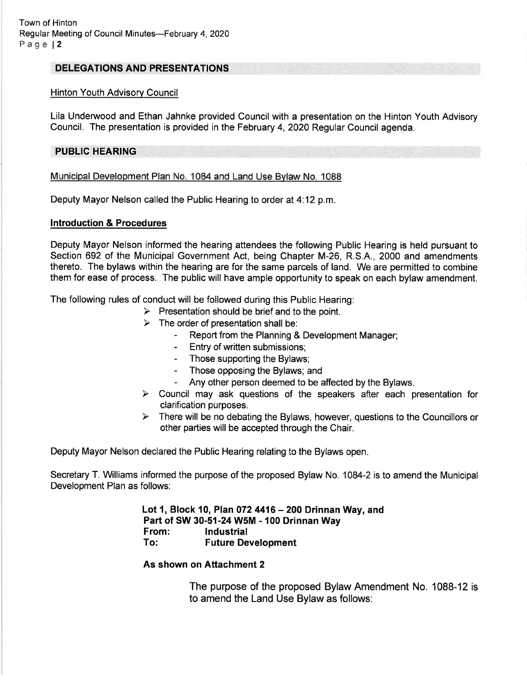#### DELEGATIONS AND PRESENTATIONS

#### Hinton Youth Advisory Council

Lila Undenruood and Ethan Jahnke provided Council with a presentation on the Hinton Youth Advisory Council. The presentation is provided in the February 4,2020 Regular Council agenda.

#### PUBLIC HEARING

#### Municipal Development PIan No. 1084 and Land Use Bvlaw No. 1088

Deputy Mayor Nelson called the Public Hearing to order at 4.12 p.m.

#### Introduction & Procedures

Deputy Mayor Nelson informed the hearing attendees the following Public Hearing is held pursuant to Section 692 of the Municipal Government Act, being Chapter M-26, R.S.A., 2000 and amendments thereto. The bylaws within the hearing are for the same parcels of land. We are permitted to combine them for ease of process. The public will have ample opportunity to speak on each bylaw amendment.

The following rules of conduct will be followed during this Public Hearing:

- $\triangleright$  Presentation should be brief and to the point.
- 
- $\triangleright$  The order of presentation shall be:<br>- Report from the Planning & Development Manager;
	- Entry of written submissions:
	- Those supporting the Bylaws;
	- Those opposing the Bylaws; and
	- Any other person deemed to be affected by the Bylaws.
- $\triangleright$  Council may ask questions of the speakers after each presentation for clarification purposes.
- $\triangleright$  There will be no debating the Bylaws, however, questions to the Councillors or other parties will be accepted through the Chair.

Deputy Mayor Nelson declared the Public Hearing relating to the Bylaws open

Secretary T. Williams informed the purpose of the proposed Bylaw No. 1084-2 is to amend the Municipal Development Plan as follows:

> Lot 1, Block 10, Plan 072 4416 – 200 Drinnan Way, and Part of SW 30-51-24 W5M - 100 Drinnan Way<br>From: lndustrial To: Future Development

#### As shown on Attachment 2

The purpose of the proposed Bylaw Amendment No. 1088-12 is to amend the Land Use Bylaw as follows: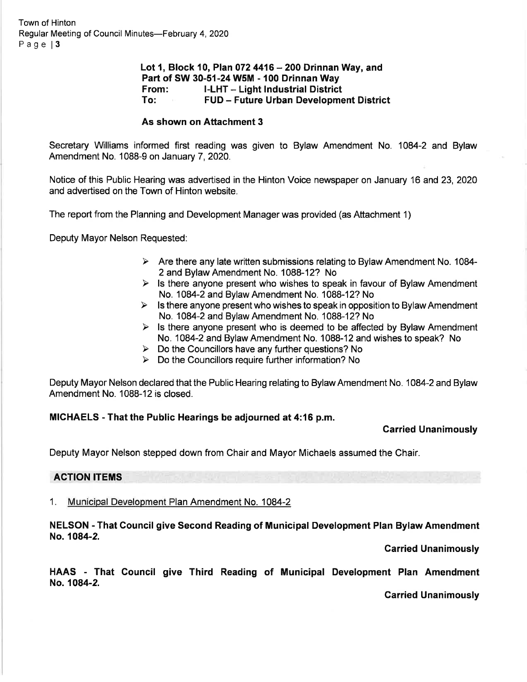Town of Hinton Regular Meeting of Council Minutes-February 4, 2020 Page | 3

# Lot 1, Block 10, Plan 072 4416  $-$  200 Drinnan Way, and Part of SW 30-51-24 W5M - 100 Drinnan Way<br>From: I-LHT -- Light Industrial District<br>To: FUD -- Future Urban Development District

#### As shown on Aftachment 3

Secretary Williams informed first reading was given to Bylaw Amendment No. 1084-2 and Bylaw Amendment No. 1088-9 on January 7, 2020.

Notice of this Public Hearing was advertised in the Hinton Voice newspaper on January 16 and 23, 2020 and advertised on the Town of Hinton website.

The report from the Planning and Development Manager was provided (as Attachment 1)

Deputy Mayor Nelson Requested:

- $\triangleright$  Are there any late written submissions relating to Bylaw Amendment No. 1084-2 and Bylaw Amendment No. 1088-12? No
- $\triangleright$  Is there anyone present who wishes to speak in favour of Bylaw Amendment No. 1084-2 and Bylaw Amendment No. 1088-12? No
- $\triangleright$  Is there anyone present who wishes to speak in opposition to Bylaw Amendment No. 1084-2 and BylawAmendment No. 1088-12? No
- $\triangleright$  Is there anyone present who is deemed to be affected by Bylaw Amendment No. 1084-2 and BylawAmendment No. 1088-12and wishes to speak? No
- $\triangleright$  Do the Councillors have any further questions? No
- $\triangleright$  Do the Councillors require further information? No

Deputy Mayor Nelson declared that the Public Hearing relating to Bylaw Amendment No. 1084-2 and Bylaw Amendment No. 1088-12 is closed.

#### MICHAELS - That the Public Hearings be adjourned at 4:16 p.m.

#### Carried Unanimously

Deputy Mayor Nelson stepped down from Chair and Mayor Michaels assumed the Chair.

#### ACTION ITEMS

1. Municipal Development Plan Amendment No. 1084-2

#### NELSON - That Council give Second Reading of Municipal Development Plan Bylaw Amendment No. 1084-2.

#### Carried Unanimously

HAAS - That Gouncil give Third Reading of Municipal Development Plan Amendment No. 1084-2.

Carried Unanimously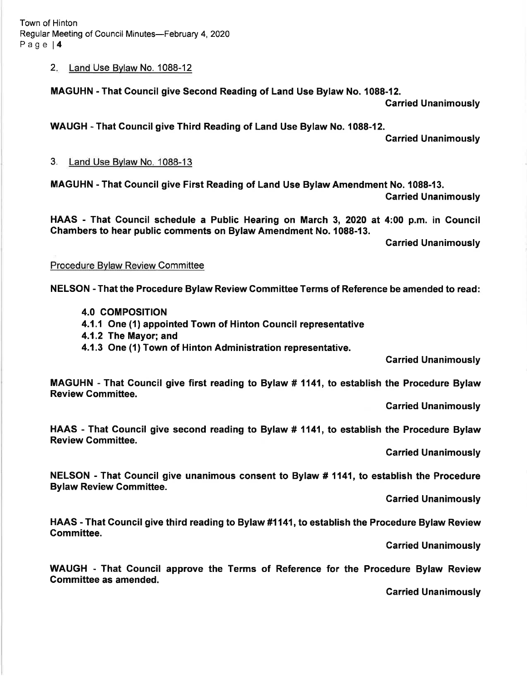Town of Hinton Regular Meeting of Council Minutes-February 4, 2020 Page l4

2. Land Use Bylaw No. 1088-12

MAGUHN - That Council give Second Reading of Land Use Bylaw No. 1088-12.

Garried Unanimously

WAUGH - That Gouncil give Third Reading of Land Use Bylaw No. 1088-12.

Garried Unanimously

3. Land Use Bvlaw No. 1088-13

MAGUHN - That Council give First Reading of Land Use Bylaw Amendment No. 1088-13. Garried Unanimously

HAAS - That Gouncil schedule a Public Hearing on March 3, 2020 at 4:00 p.m. in Gouncil Chambers to hear public comments on Bylaw Amendment No. 1088-13.

Carried Unanimously

#### Procedure Bylaw Review Committee

NELSON - That the Procedure Bylaw Review Gommittee Terms of Reference be amended to read:

- **4.0 COMPOSITION**
- 4.1.1 One (1) appointed Town of Hinton Gouncil representative
- 4.1.2 The Mayor; and
- 4.1.3 One (1) Town of Hinton Administration representative.

Carried Unanimously

MAGUHN - That Gouncil give first reading to Bylaw # 1141, to establish the Procedure Bylaw Review Committee.

Garried Unanimously

HAAS - That Council give second reading to Bylaw # 1141, to establish the Procedure Bylaw Review Gommittee.

Carried Unanimously

NELSON - That Gouncil give unanimous consent to Bylaw # 1141, to establish the Procedure Bylaw Review Gommittee.

Garried Unanimously

HAAS - That Gouncil give third reading to Bylaw #1141, to establish the Procedure Bylaw Review Gommittee.

Carried Unanimously

WAUGH - That Council approve the Terms of Reference for the Procedure Bylaw Review Gommittee as amended.

Carried Unanimously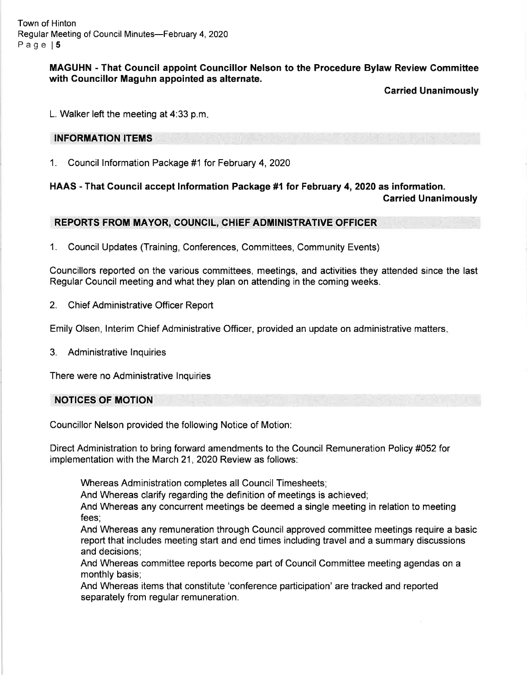Town of Hinton Regular Meeting of Council Minutes-February 4, 2020 Page 15

> MAGUHN - That Gouncil appoint Gouncillor Nelson to the Procedure Bylaw Review Committee with Councillor Maguhn appointed as alternate.

> > Carried Unanimously

L. Walker left the meeting at 4:33 p.m

#### INFORMATION ITEMS

1. Council lnformation Package #1 for February 4,2020

HAAS - That Council accept Information Package #1 for February 4, 2020 as information. Carried Unanimously

## REPORTS FROM MAYOR, COUNCIL, CHIEF ADMINISTRATIVE OFFICER

1. Council Updates (Training, Conferences, Committees, Community Events)

Councillors reported on the various committees, meetings, and activities they attended since the last Regular Council meeting and what they plan on attending in the coming weeks.

2. Chief Administrative Officer Report

Emily Olsen, lnterim Chief Administrative Officer, provided an update on administrative matters

3. Administrative lnquiries

There were no Administrative lnquiries

#### NOTICES OF MOTION

Councillor Nelson provided the following Notice of Motion.

Direct Administration to bring forward amendments to the Council Remuneration Policy #052 for implementation with the March 21, 2020 Review as follows:

Whereas Administration completes all Council Timesheets;

And Whereas clarify regarding the definition of meetings is achieved;

And Whereas any concurrent meetings be deemed a single meeting in relation to meeting fees;

And Whereas any remuneration through Council approved committee meetings require a basic report that includes meeting start and end times including travel and a summary discussions and decisions;

And Whereas committee reports become part of Council Committee meeting agendas on a monthly basis;

And Whereas items that constitute 'conference participation' are tracked and reported separately from regular remuneration.